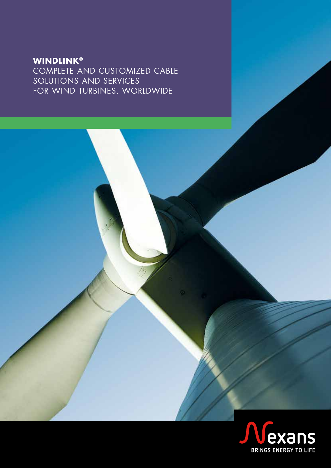### **WINDLINK®** COMPLETE AND CUSTOMIZED CABLE SOLUTIONS AND SERVICES FOR WIND TURBINES, WORLDWIDE

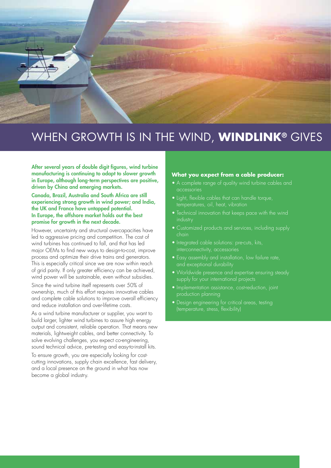

### WHEN GROWTH IS IN THE WIND, **WINDLINK®** GIVES

After several years of double digit figures, wind turbine manufacturing is continuing to adapt to slower growth in Europe, although long-term perspectives are positive, driven by China and emerging markets.

Canada, Brazil, Australia and South Africa are still experiencing strong growth in wind power; and India, the UK and France have untapped potential. In Europe, the offshore market holds out the best promise for growth in the next decade.

However, uncertainty and structural overcapacities have led to aggressive pricing and competition. The cost of wind turbines has continued to fall, and that has led major OEMs to find new ways to design-to-cost, improve process and optimize their drive trains and generators. This is especially critical since we are now within reach of grid parity. If only greater efficiency can be achieved, wind power will be sustainable, even without subsidies.

Since the wind turbine itself represents over 50% of ownership, much of this effort requires innovative cables and complete cable solutions to improve overall efficiency and reduce installation and over-lifetime costs.

As a wind turbine manufacturer or supplier, you want to build larger, lighter wind turbines to assure high energy output and consistent, reliable operation. That means new materials, lightweight cables, and better connectivity. To solve evolving challenges, you expect co-engineering, sound technical advice, pre-testing and easy-to-install kits.

To ensure growth, you are especially looking for costcutting innovations, supply chain excellence, fast delivery, and a local presence on the ground in what has now become a global industry.

#### **What you expect from a cable producer:**

- A complete range of quality wind turbine cables and accessories
- Light, flexible cables that can handle torque, temperatures, oil, heat, vibration
- industry
- Customized products and services, including supply chain
- Integrated cable solutions: pre-cuts, kits, interconnectivity, accessories
- Easy assembly and installation, low failure rate, and exceptional durability
- Worldwide presence and expertise ensuring steady supply for your international projects
- Implementation assistance, cost-reduction, joint
- Design engineering for critical areas, testing (temperature, stress, flexibility)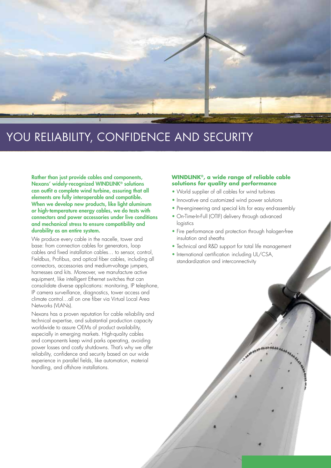

## YOU RELIABILITY, CONFIDENCE AND SECURITY

Rather than just provide cables and components, Nexans' widely-recognized WINDLINK® solutions can outfit a complete wind turbine, assuring that all elements are fully interoperable and compatible. When we develop new products, like light aluminum or high-temperature energy cables, we do tests with connectors and power accessories under live conditions and mechanical stress to ensure compatibility and durability as an entire system.

We produce every cable in the nacelle, tower and base: from connection cables for generators, loop cables and fixed installation cables… to sensor, control, Fieldbus, Profibus, and optical fiber cables, including all connectors, accessories and medium-voltage jumpers, harnesses and kits. Moreover, we manufacture active equipment, like intelligent Ethernet switches that can consolidate diverse applications: monitoring, IP telephone, IP camera surveillance, diagnostics, tower access and climate control…all on one fiber via Virtual Local Area Networks (VLANs).

Nexans has a proven reputation for cable reliability and technical expertise, and substantial production capacity worldwide to assure OEMs of product availability, especially in emerging markets. High-quality cables and components keep wind parks operating, avoiding power losses and costly shutdowns. That's why we offer reliability, confidence and security based on our wide experience in parallel fields, like automation, material handling, and offshore installations.

#### **WINDLINK®, a wide range of reliable cable solutions for quality and performance**

- World supplier of all cables for wind turbines
- Innovative and customized wind power solutions
- Pre-engineering and special kits for easy end-assembly
- On-Time-In-Full (OTIF) delivery through advanced logistics
- Fire performance and protection through halogen-free insulation and sheaths
- Technical and R&D support for total life management
- International certification including UL/CSA, standardization and interconnectivity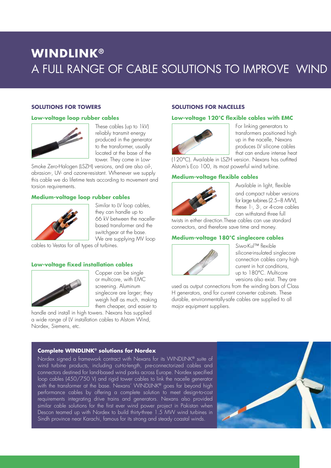### **WINDLINK®** A FULL RANGE OF CABLE SOLUTIONS TO IMPROVE WIND

#### **SOLUTIONS FOR TOWERS**

#### **Low-voltage loop rubber cables**



These cables (up to 1kV) reliably transmit energy produced in the generator to the transformer, usually located at the base of the tower. They come in Low-

Smoke Zero-Halogen (LSZH) versions, and are also oil-, abrasion-, UV- and ozone-resistant. Whenever we supply this cable we do lifetime tests according to movement and torsion requirements.

#### **Medium-voltage loop rubber cables**



Similar to LV loop cables, they can handle up to 66 kV between the nacellebased transformer and the switchgear at the base. We are supplying MV loop

cables to Vestas for all types of turbines.

#### **Low-voltage fixed installation cables**



Copper can be single or multicore, with EMC screening. Aluminum singlecore are larger; they weigh half as much, making them cheaper, and easier to

handle and install in high towers. Nexans has supplied a wide range of LV installation cables to Alstom Wind, Nordex, Siemens, etc.

#### **SOLUTIONS FOR NACELLES**

#### **Low-voltage 120°C flexible cables with EMC**



For linking generators to transformers positioned high up in the nacelle, Nexans produces LV silicone cables that can endure intense heat

(120°C). Available in LSZH version. Nexans has outfitted Alstom's Eco 100, its most powerful wind turbine.

#### **Medium-voltage flexible cables**



Available in light, flexible and compact rubber versions for large turbines (2.5−8 MW), these 1-, 3-, or 4-core cables can withstand three full

twists in either direction.These cables can use standard connectors, and therefore save time and money.

#### **Medium-voltage 180°C singlecore cables**



Siwo-Kul™ flexible silicone-insulated singlecore connection cables carry high current in hot conditions, up to 180°C. Multicore versions also exist. They are

used as output connections from the winding bars of Class H generators, and for current converter cabinets. These durable, environmentally-safe cables are supplied to all major equipment suppliers.

#### **Complete WINDLINK® solutions for Nordex**

Nordex signed a framework contract with Nexans for its WINDLINK® suite of wind turbine products, including cut-to-length, pre-connectorized cables and connectors destined for land-based wind parks across Europe. Nordex specified loop cables (450/750 V) and rigid tower cables to link the nacelle generator with the transformer at the base. Nexans' WINDLINK® goes far beyond high performance cables by offering a complete solution to meet design-to-cost requirements integrating drive trains and generators. Nexans also provided similar cable solutions for the first ever wind power project in Pakistan when Descon teamed up with Nordex to build thirty-three 1.5 MW wind turbines in Sindh province near Karachi, famous for its strong and steady coastal winds.

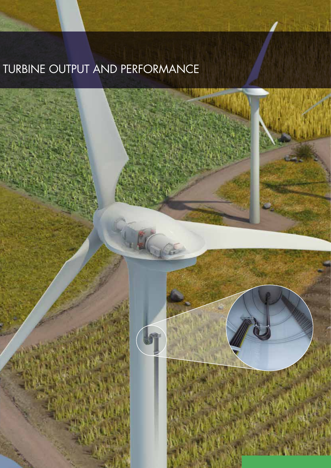# TURBINE OUTPUT AND PERFORMANCE

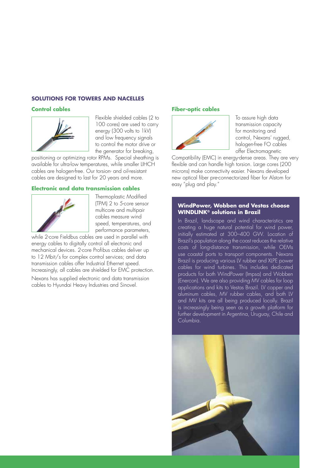#### **SOLUTIONS FOR TOWERS AND NACELLES**

#### **Control cables**



Flexible shielded cables (2 to 100 cores) are used to carry energy (300 volts to 1kV) and low frequency signals to control the motor drive or the generator for breaking,

positioning or optimizing rotor RPMs. Special sheathing is available for ultra-low temperatures, while smaller LIHCH cables are halogen-free. Our torsion- and oil-resistant cables are designed to last for 20 years and more.

#### **Electronic and data transmission cables**



Thermoplastic Modified (TPM) 2 to 5-core sensor multicore and multipair cables measure wind speed, temperatures, and performance parameters,

while 2-core Fieldbus cables are used in parallel with energy cables to digitally control all electronic and mechanical devices. 2-core Profibus cables deliver up to 12 Mbit/s for complex control services; and data transmission cables offer Industrial Ethernet speed. Increasingly, all cables are shielded for EMC protection.

Nexans has supplied electronic and data transmission cables to Hyundai Heavy Industries and Sinovel.

#### **Fiber-optic cables**



To assure high data transmission capacity for monitoring and control, Nexans' rugged, halogen-free FO cables offer Electromagnetic

Compatibility (EMC) in energy-dense areas. They are very flexible and can handle high torsion. Large cores (200 microns) make connectivity easier. Nexans developed new optical fiber pre-connectorized fiber for Alstom for easy "plug and play."

#### **WindPower, Wobben and Vestas choose WINDLINK® solutions in Brazil**

In Brazil, landscape and wind characteristics are creating a huge natural potential for wind power, initially estimated at 300–400 GW. Location of Brazil's population along the coast reduces the relative costs of long-distance transmission, while OEMs use coastal ports to transport components. Nexans Brazil is producing various LV rubber and XLPE power cables for wind turbines. This includes dedicated products for both WindPower (Impsa) and Wobben (Enercon). We are also providing MV cables for loop applications and kits to Vestas Brazil. LV copper and aluminum cables, MV rubber cables, and both LV and MV kits are all being produced locally. Brazil is increasingly being seen as a growth platform for further development in Argentina, Uruguay, Chile and Columbia.

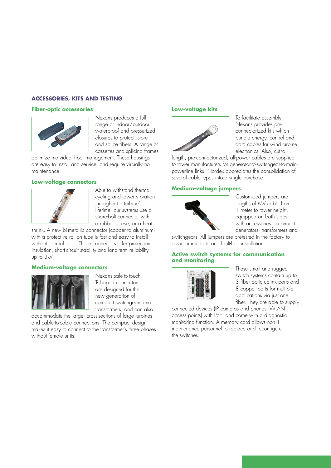#### **ACCESSORIES, KITS AND TESTING**

#### **Fiber-optic accessories**



Nexans produces a full range of indoor/outdoor waterproof and pressurized closures to protect, store and splice fibers. A range of cassettes and splicing frames

optimize individual fiber management. These housings are easy to install and service, and require virtually no maintenance.

#### **Low-voltage connectors**



Able to withstand thermal cycling and tower vibration throughout a turbine's lifetime, our systems use a share-bolt connector with a rubber sleeve, or a heat

shrink. A new bi-metallic connector (copper to aluminum) with a protective roll-on tube is fast and easy to install without special tools. These connectors offer protection, insulation, short-circuit stability and long-term reliability up to 3kV

#### **Medium-voltage connectors**



Nexans safe-to-touch T-shaped connectors are designed for the new generation of compact switchgears and transformers, and can also

accommodate the larger cross-sections of large turbines and cable-to-cable connections. The compact design makes it easy to connect to the transformer's three phases without female units.

#### **Low-voltage kits**



To facilitate assembly, Nexans provides preconnectorized kits which bundle energy, control and data cables for wind turbine electronics. Also, cut-to-

length, pre-connectorized, all-power cables are supplied to tower manufacturers for generator-to-switchgear-to-mainpowerline links. Nordex appreciates the consolidation of several cable types into a single purchase.

#### **Medium-voltage jumpers**



Customized jumpers are lengths of MV cable from 1 meter to tower height, equipped on both sides with accessories to connect generators, transformers and

switchgears. All jumpers are pretested in the factory to assure immediate and fault-free installation.

#### **Active switch systems for communication and monitoring**



These small and rugged switch systems contain up to 3 fiber optic uplink ports and 8 copper ports for multiple applications via just one fiber. They are able to supply

connected devices (IP cameras and phones, WLAN access points) with PoE, and come with a diagnostic monitoring function. A memory card allows non-IT maintenance personnel to replace and reconfigure the switches.